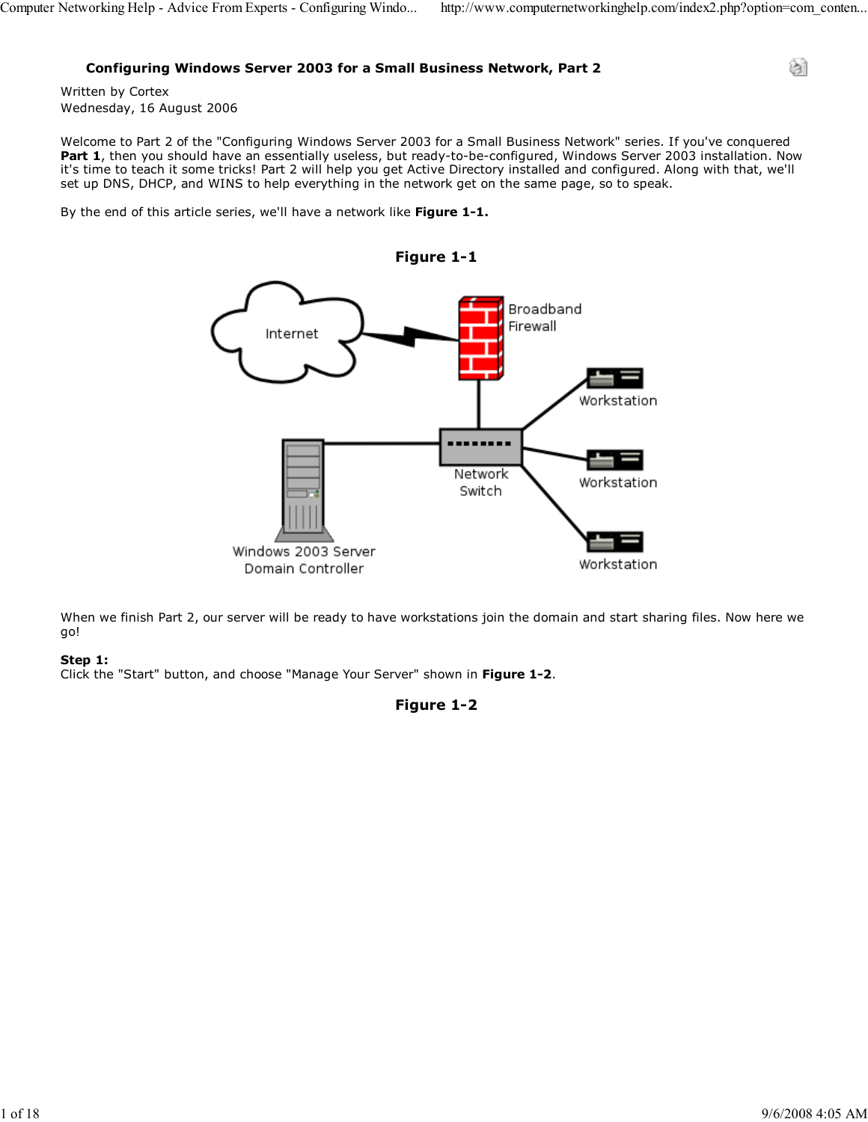ा

### Configuring Windows Server 2003 for a Small Business Network, Part 2

Written by Cortex Wednesday, 16 August 2006

Welcome to Part 2 of the "Configuring Windows Server 2003 for a Small Business Network" series. If you've conquered Part 1, then you should have an essentially useless, but ready-to-be-configured, Windows Server 2003 installation. Now it's time to teach it some tricks! Part 2 will help you get Active Directory installed and configured. Along with that, we'll set up DNS, DHCP, and WINS to help everything in the network get on the same page, so to speak.

By the end of this article series, we'll have a network like Figure 1-1.



When we finish Part 2, our server will be ready to have workstations join the domain and start sharing files. Now here we go!

### Step 1:

Click the "Start" button, and choose "Manage Your Server" shown in Figure 1-2.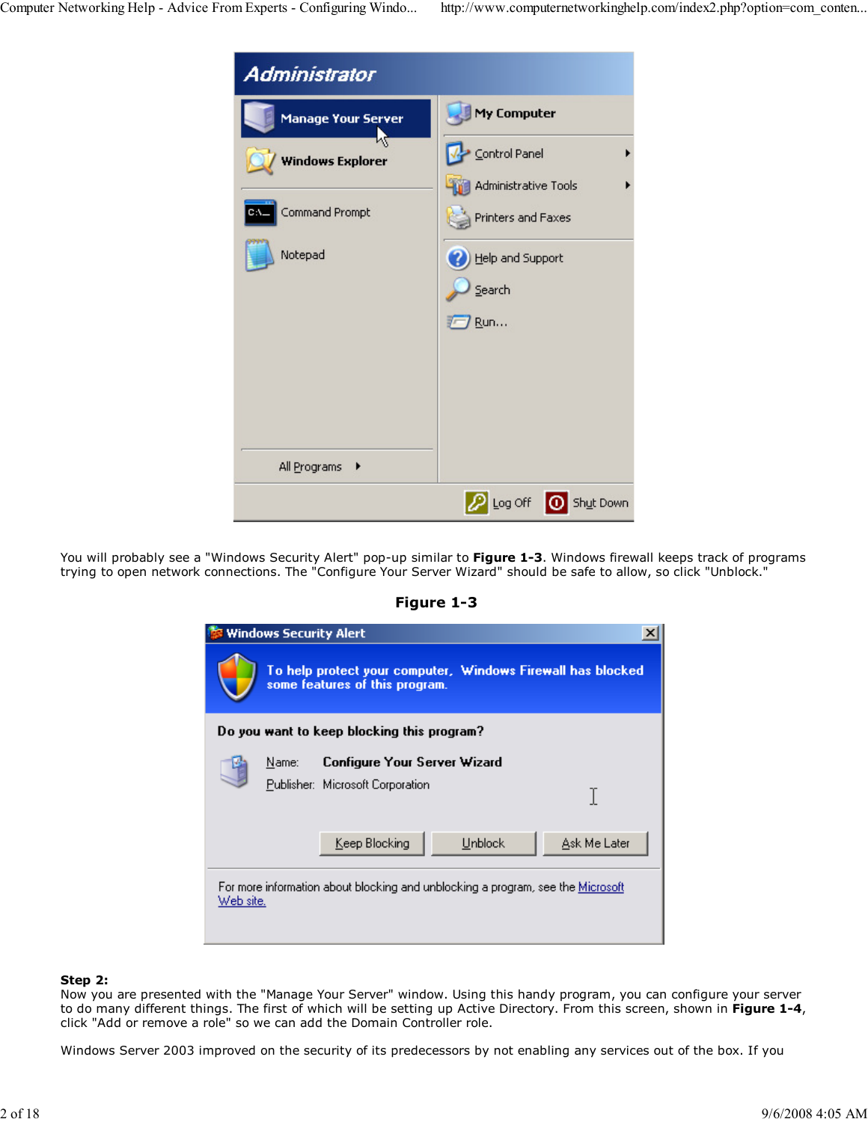

You will probably see a "Windows Security Alert" pop-up similar to Figure 1-3. Windows firewall keeps track of programs trying to open network connections. The "Configure Your Server Wizard" should be safe to allow, so click "Unblock."

### Figure 1-3

|                                                                                                     | <b>Windows Security Alert</b> |                                                                                               |                |              |
|-----------------------------------------------------------------------------------------------------|-------------------------------|-----------------------------------------------------------------------------------------------|----------------|--------------|
|                                                                                                     |                               | To help protect your computer, Windows Firewall has blocked<br>some features of this program. |                |              |
| Do you want to keep blocking this program?                                                          |                               |                                                                                               |                |              |
|                                                                                                     | Name:                         | Configure Your Server Wizard                                                                  |                |              |
|                                                                                                     |                               | Publisher: Microsoft Corporation                                                              |                |              |
|                                                                                                     |                               | Keep Blocking                                                                                 | <b>Unblock</b> | Ask Me Later |
| For more information about blocking and unblocking a program, see the <u>Microsoft</u><br>Web site. |                               |                                                                                               |                |              |

#### Step 2:

Now you are presented with the "Manage Your Server" window. Using this handy program, you can configure your server to do many different things. The first of which will be setting up Active Directory. From this screen, shown in Figure 1-4, click "Add or remove a role" so we can add the Domain Controller role.

Windows Server 2003 improved on the security of its predecessors by not enabling any services out of the box. If you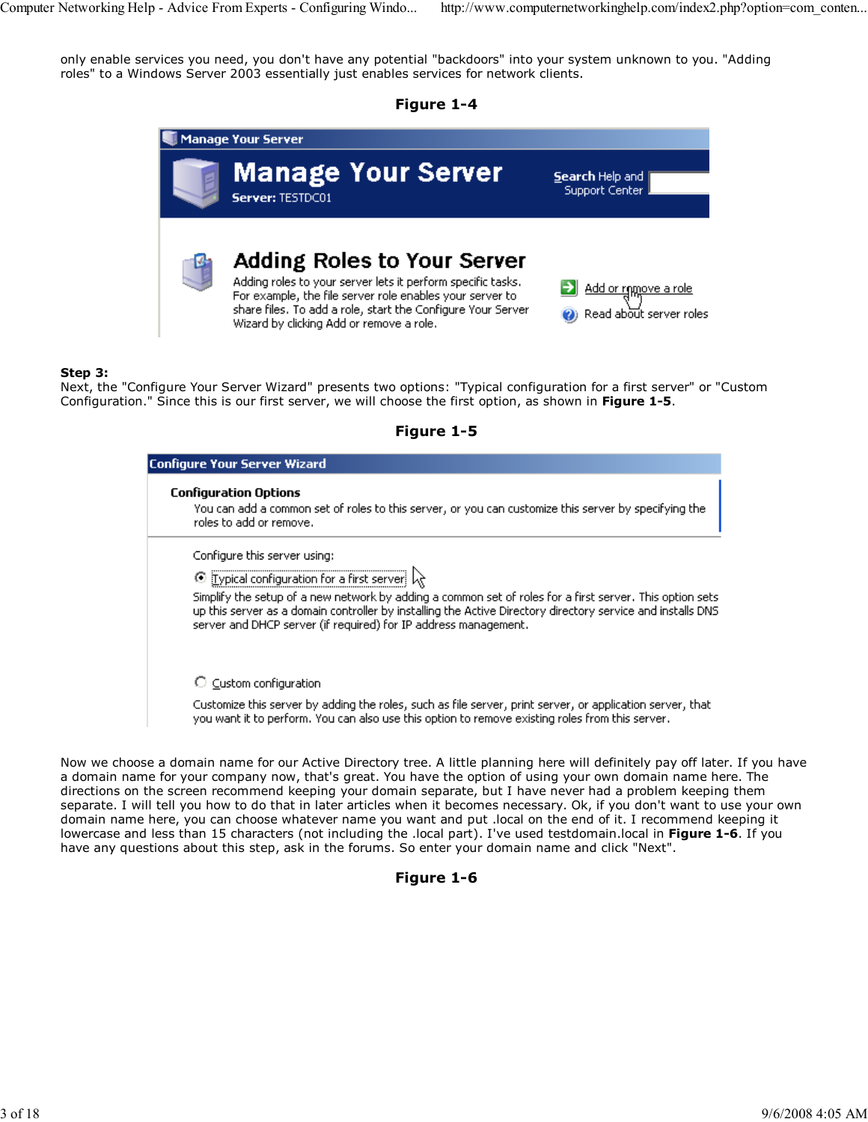only enable services you need, you don't have any potential "backdoors" into your system unknown to you. "Adding roles" to a Windows Server 2003 essentially just enables services for network clients.





### Step 3:

Next, the "Configure Your Server Wizard" presents two options: "Typical configuration for a first server" or "Custom Configuration." Since this is our first server, we will choose the first option, as shown in Figure 1-5.

| Figure <sub>J</sub> |  |
|---------------------|--|
|                     |  |

| <b>Configure Your Server Wizard</b>                                                                                                                                                                                                                                                        |  |  |
|--------------------------------------------------------------------------------------------------------------------------------------------------------------------------------------------------------------------------------------------------------------------------------------------|--|--|
| <b>Configuration Options</b><br>You can add a common set of roles to this server, or you can customize this server by specifying the<br>roles to add or remove.                                                                                                                            |  |  |
| Configure this server using:                                                                                                                                                                                                                                                               |  |  |
| ⊙ Typical configuration for a first server                                                                                                                                                                                                                                                 |  |  |
| Simplify the setup of a new network by adding a common set of roles for a first server. This option sets<br>up this server as a domain controller by installing the Active Directory directory service and installs DNS<br>server and DHCP server (if required) for IP address management. |  |  |
| $\circlearrowright$ Custom configuration                                                                                                                                                                                                                                                   |  |  |
| Customize this server by adding the roles, such as file server, print server, or application server, that<br>you want it to perform. You can also use this option to remove existing roles from this server.                                                                               |  |  |

Now we choose a domain name for our Active Directory tree. A little planning here will definitely pay off later. If you have a domain name for your company now, that's great. You have the option of using your own domain name here. The directions on the screen recommend keeping your domain separate, but I have never had a problem keeping them separate. I will tell you how to do that in later articles when it becomes necessary. Ok, if you don't want to use your own domain name here, you can choose whatever name you want and put .local on the end of it. I recommend keeping it lowercase and less than 15 characters (not including the .local part). I've used testdomain.local in Figure 1-6. If you have any questions about this step, ask in the forums. So enter your domain name and click "Next".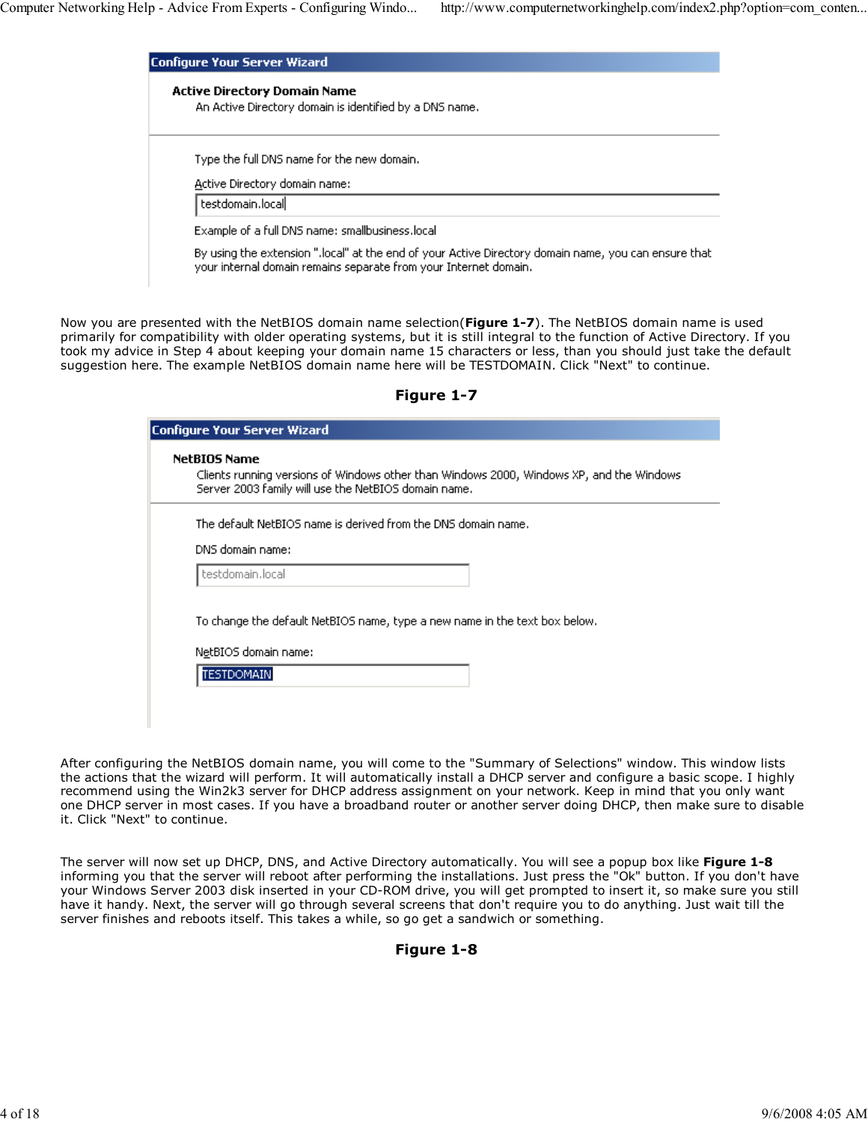| Configure Your Server Wizard                                                                                                                                             |  |  |
|--------------------------------------------------------------------------------------------------------------------------------------------------------------------------|--|--|
| <b>Active Directory Domain Name</b><br>An Active Directory domain is identified by a DNS name.                                                                           |  |  |
| Type the full DNS name for the new domain.                                                                                                                               |  |  |
| Active Directory domain name:                                                                                                                                            |  |  |
| testdomain.local                                                                                                                                                         |  |  |
| Example of a full DNS name: smallbusiness.local                                                                                                                          |  |  |
| By using the extension ".local" at the end of your Active Directory domain name, you can ensure that<br>your internal domain remains separate from your Internet domain. |  |  |

Now you are presented with the NetBIOS domain name selection(Figure 1-7). The NetBIOS domain name is used primarily for compatibility with older operating systems, but it is still integral to the function of Active Directory. If you took my advice in Step 4 about keeping your domain name 15 characters or less, than you should just take the default suggestion here. The example NetBIOS domain name here will be TESTDOMAIN. Click "Next" to continue.

Figure 1-7

| <b>Configure Your Server Wizard</b>                                                                                                                                     |
|-------------------------------------------------------------------------------------------------------------------------------------------------------------------------|
| <b>NetBIOS Name</b><br>Clients running versions of Windows other than Windows 2000, Windows XP, and the Windows<br>Server 2003 family will use the NetBIOS domain name. |
| The default NetBIOS name is derived from the DNS domain name.                                                                                                           |
| DNS domain name:                                                                                                                                                        |
| testdomain.local                                                                                                                                                        |
| To change the default NetBIOS name, type a new name in the text box below.<br>NetBIOS domain name:<br><b>TESTDOMAIN</b>                                                 |

After configuring the NetBIOS domain name, you will come to the "Summary of Selections" window. This window lists the actions that the wizard will perform. It will automatically install a DHCP server and configure a basic scope. I highly recommend using the Win2k3 server for DHCP address assignment on your network. Keep in mind that you only want one DHCP server in most cases. If you have a broadband router or another server doing DHCP, then make sure to disable it. Click "Next" to continue.

The server will now set up DHCP, DNS, and Active Directory automatically. You will see a popup box like Figure 1-8 informing you that the server will reboot after performing the installations. Just press the "Ok" button. If you don't have your Windows Server 2003 disk inserted in your CD-ROM drive, you will get prompted to insert it, so make sure you still have it handy. Next, the server will go through several screens that don't require you to do anything. Just wait till the server finishes and reboots itself. This takes a while, so go get a sandwich or something.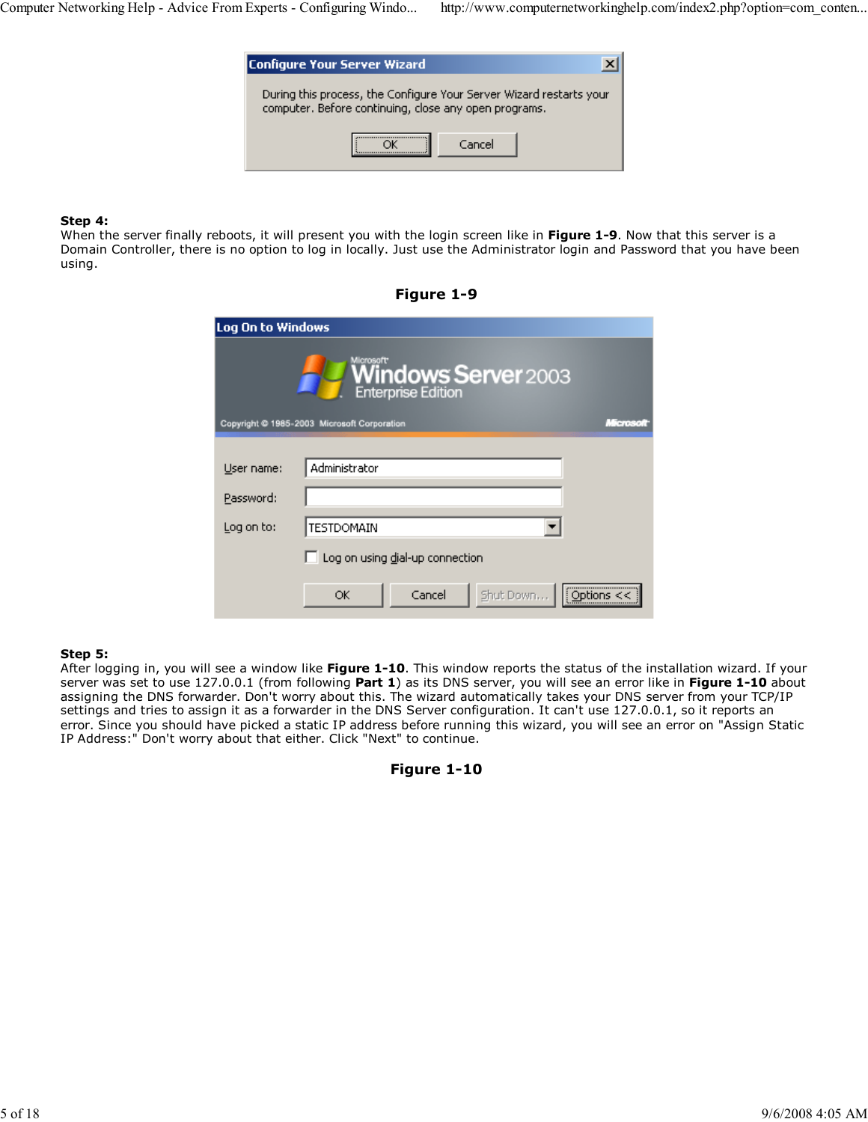| <b>Configure Your Server Wizard</b>                                                                                          |        |  |
|------------------------------------------------------------------------------------------------------------------------------|--------|--|
| During this process, the Configure Your Server Wizard restarts your<br>computer. Before continuing, close any open programs. |        |  |
|                                                                                                                              | Cancel |  |

### Step 4:

When the server finally reboots, it will present you with the login screen like in Figure 1-9. Now that this server is a Domain Controller, there is no option to log in locally. Just use the Administrator login and Password that you have been using.

| Log On to Windows                                      |                                                  |  |  |
|--------------------------------------------------------|--------------------------------------------------|--|--|
|                                                        | <b>Windows Server</b> 2003<br>Enterprise Edition |  |  |
| Copyright @ 1985-2003 Microsoft Corporation<br>Mercsch |                                                  |  |  |
|                                                        |                                                  |  |  |
| User name:                                             | Administrator                                    |  |  |
| Password:                                              |                                                  |  |  |
| Log on to:                                             | <b>TESTDOMAIN</b>                                |  |  |
|                                                        | Log on using dial-up connection                  |  |  |
|                                                        | <br>Cancel<br>Shut Down<br>ОК<br>Options $<<$    |  |  |

# Figure 1-9

#### Step 5:

After logging in, you will see a window like Figure 1-10. This window reports the status of the installation wizard. If your server was set to use 127.0.0.1 (from following Part 1) as its DNS server, you will see an error like in Figure 1-10 about assigning the DNS forwarder. Don't worry about this. The wizard automatically takes your DNS server from your TCP/IP settings and tries to assign it as a forwarder in the DNS Server configuration. It can't use 127.0.0.1, so it reports an error. Since you should have picked a static IP address before running this wizard, you will see an error on "Assign Static IP Address:" Don't worry about that either. Click "Next" to continue.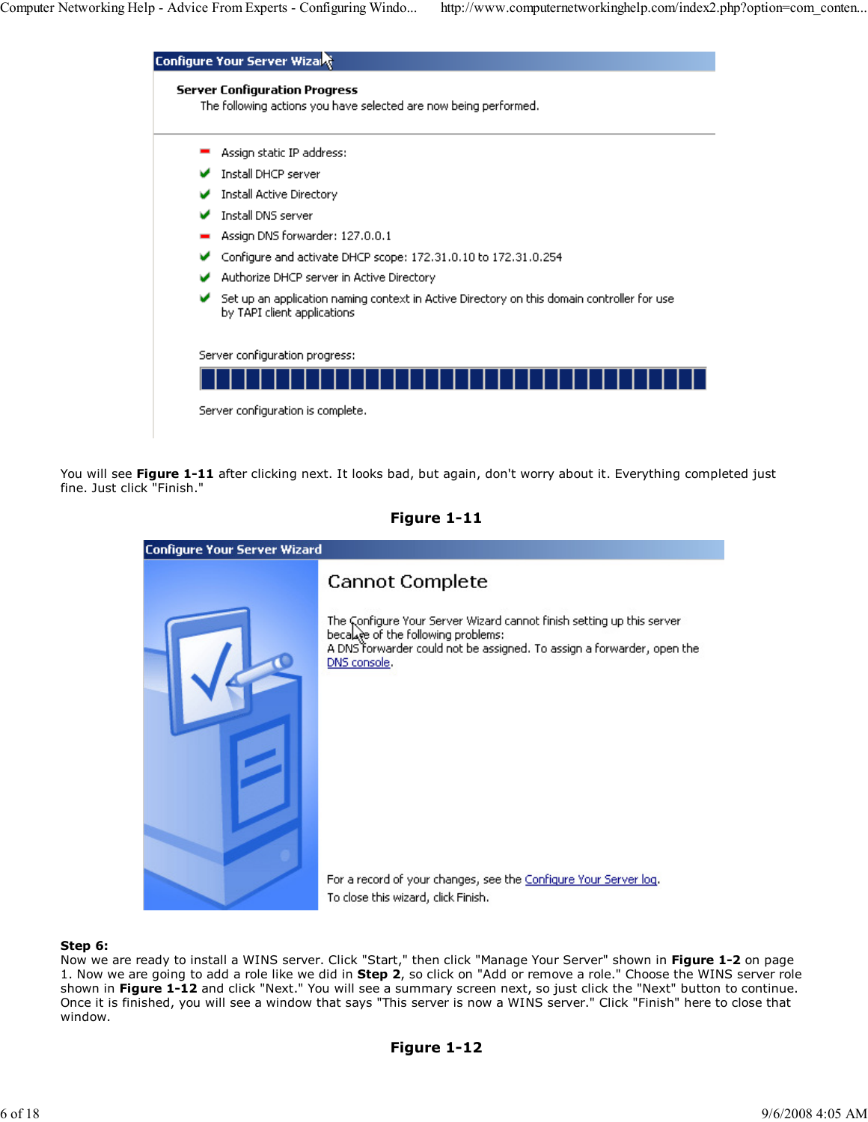| The following actions you have selected are now being performed.                                                          |
|---------------------------------------------------------------------------------------------------------------------------|
| Assign static IP address:                                                                                                 |
| Install DHCP server                                                                                                       |
| Install Active Directory                                                                                                  |
| Install DNS server                                                                                                        |
| Assign DNS forwarder: 127.0.0.1                                                                                           |
| Configure and activate DHCP scope: 172.31.0.10 to 172.31.0.254                                                            |
| Authorize DHCP server in Active Directory                                                                                 |
| Set up an application naming context in Active Directory on this domain controller for use<br>by TAPI client applications |
| Server configuration progress:                                                                                            |
|                                                                                                                           |

You will see Figure 1-11 after clicking next. It looks bad, but again, don't worry about it. Everything completed just fine. Just click "Finish."



# Figure 1-11

### Step 6:

Now we are ready to install a WINS server. Click "Start," then click "Manage Your Server" shown in Figure 1-2 on page 1. Now we are going to add a role like we did in Step 2, so click on "Add or remove a role." Choose the WINS server role shown in Figure 1-12 and click "Next." You will see a summary screen next, so just click the "Next" button to continue. Once it is finished, you will see a window that says "This server is now a WINS server." Click "Finish" here to close that window.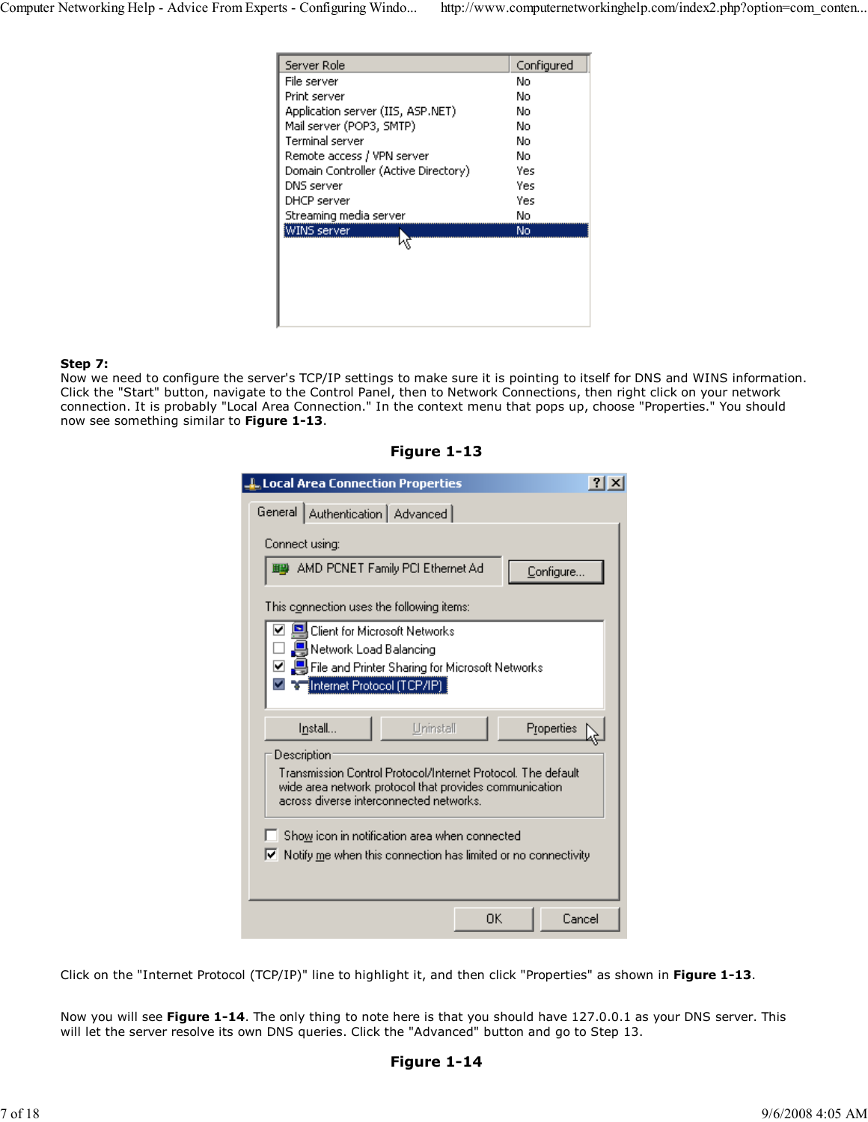| Server Role                          | Configured |
|--------------------------------------|------------|
| File server                          | No         |
| Print server                         | No         |
| Application server (IIS, ASP.NET)    | No         |
| Mail server (POP3, SMTP)             | No         |
| Terminal server                      | No         |
| Remote access / VPN server           | No         |
| Domain Controller (Active Directory) | Yes        |
| DNS server                           | Yes        |
| DHCP server                          | Yes        |
| Streaming media server               | No         |
| WINS server                          | No.        |
|                                      |            |
|                                      |            |
|                                      |            |
|                                      |            |
|                                      |            |

### Step 7:

Now we need to configure the server's TCP/IP settings to make sure it is pointing to itself for DNS and WINS information. Click the "Start" button, navigate to the Control Panel, then to Network Connections, then right click on your network connection. It is probably "Local Area Connection." In the context menu that pops up, choose "Properties." You should now see something similar to Figure 1-13.

Figure 1-13

| Local Area Connection Properties                                                    |  |  |  |  |
|-------------------------------------------------------------------------------------|--|--|--|--|
| General   Authentication   Advanced                                                 |  |  |  |  |
| Connect using:                                                                      |  |  |  |  |
| ■■ AMD PCNET Family PCI Ethernet Ad<br>Configure                                    |  |  |  |  |
| This connection uses the following items:                                           |  |  |  |  |
| ∫Client for Microsoft Networks                                                      |  |  |  |  |
| Network Load Balancing                                                              |  |  |  |  |
| ☑ _ L File and Printer Sharing for Microsoft Networks                               |  |  |  |  |
| <mark>ज</mark> विज्ञाति emet Protocol (TCP/IP)                                      |  |  |  |  |
|                                                                                     |  |  |  |  |
| Properties<br>Install<br>Uninstall                                                  |  |  |  |  |
| Description                                                                         |  |  |  |  |
| Transmission Control Protocol/Internet Protocol. The default                        |  |  |  |  |
| wide area network protocol that provides communication                              |  |  |  |  |
| across diverse interconnected networks.                                             |  |  |  |  |
| Show icon in notification area when connected                                       |  |  |  |  |
|                                                                                     |  |  |  |  |
| $\blacktriangleright$ Notify me when this connection has limited or no connectivity |  |  |  |  |
|                                                                                     |  |  |  |  |
|                                                                                     |  |  |  |  |
| ΟK<br>Cancel                                                                        |  |  |  |  |

Click on the "Internet Protocol (TCP/IP)" line to highlight it, and then click "Properties" as shown in Figure 1-13.

Now you will see **Figure 1-14**. The only thing to note here is that you should have 127.0.0.1 as your DNS server. This will let the server resolve its own DNS queries. Click the "Advanced" button and go to Step 13.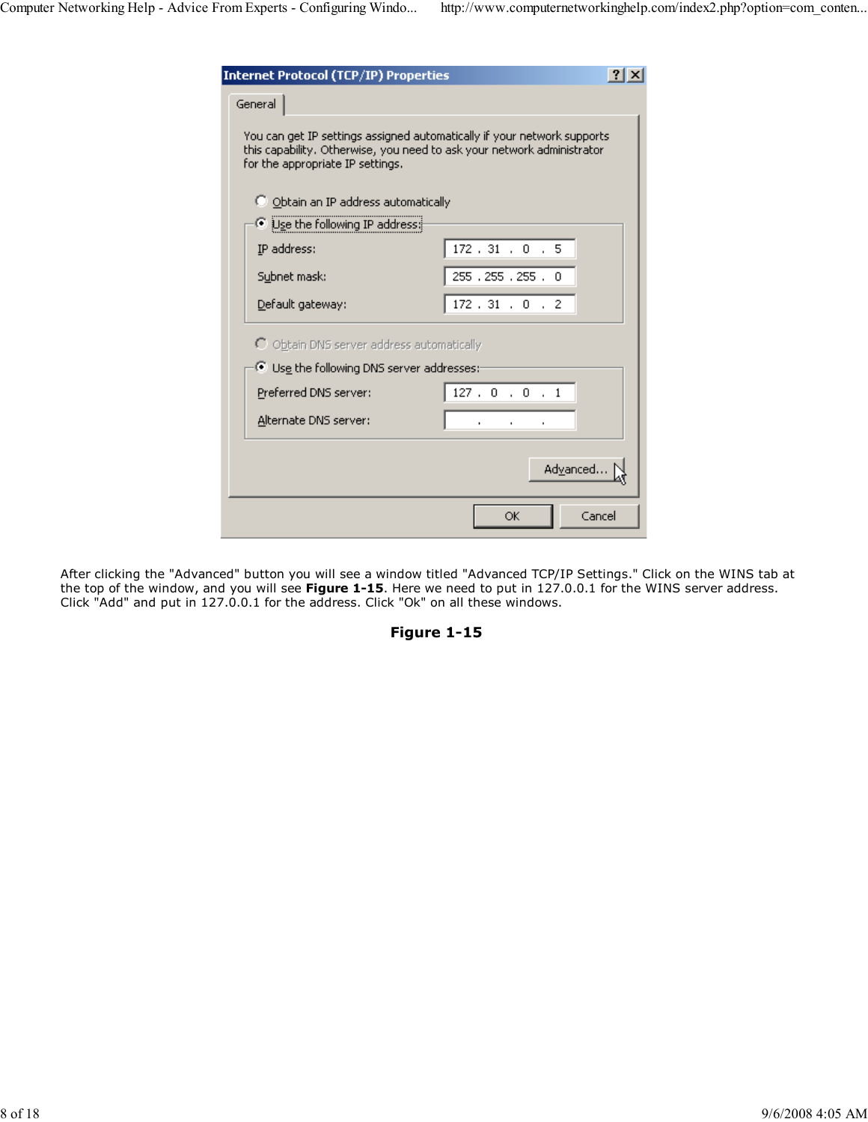| <b>Internet Protocol (TCP/IP) Properties</b>                                                                                                                                           |                  |  |  |  |  |
|----------------------------------------------------------------------------------------------------------------------------------------------------------------------------------------|------------------|--|--|--|--|
| General                                                                                                                                                                                |                  |  |  |  |  |
| You can get IP settings assigned automatically if your network supports.<br>this capability. Otherwise, you need to ask your network administrator<br>for the appropriate IP settings. |                  |  |  |  |  |
| O Obtain an IP address automatically                                                                                                                                                   |                  |  |  |  |  |
| Use the following IP address:                                                                                                                                                          |                  |  |  |  |  |
| IP address:                                                                                                                                                                            | 172.31.0.5       |  |  |  |  |
| Subnet mask:                                                                                                                                                                           | 255, 255, 255, 0 |  |  |  |  |
| Default gateway:                                                                                                                                                                       | 172.31.0.2       |  |  |  |  |
| $\bigcirc$ Obtain DNS server address automatically                                                                                                                                     |                  |  |  |  |  |
| Use the following DNS server addresses:-                                                                                                                                               |                  |  |  |  |  |
| Preferred DNS server:                                                                                                                                                                  | 127.0.0.1        |  |  |  |  |
| Alternate DNS server:                                                                                                                                                                  |                  |  |  |  |  |
|                                                                                                                                                                                        | Advanced         |  |  |  |  |
|                                                                                                                                                                                        | OK<br>Cancel     |  |  |  |  |

After clicking the "Advanced" button you will see a window titled "Advanced TCP/IP Settings." Click on the WINS tab at the top of the window, and you will see **Figure 1-15**. Here we need to put in 127.0.0.1 for the WINS server address. Click "Add" and put in 127.0.0.1 for the address. Click "Ok" on all these windows.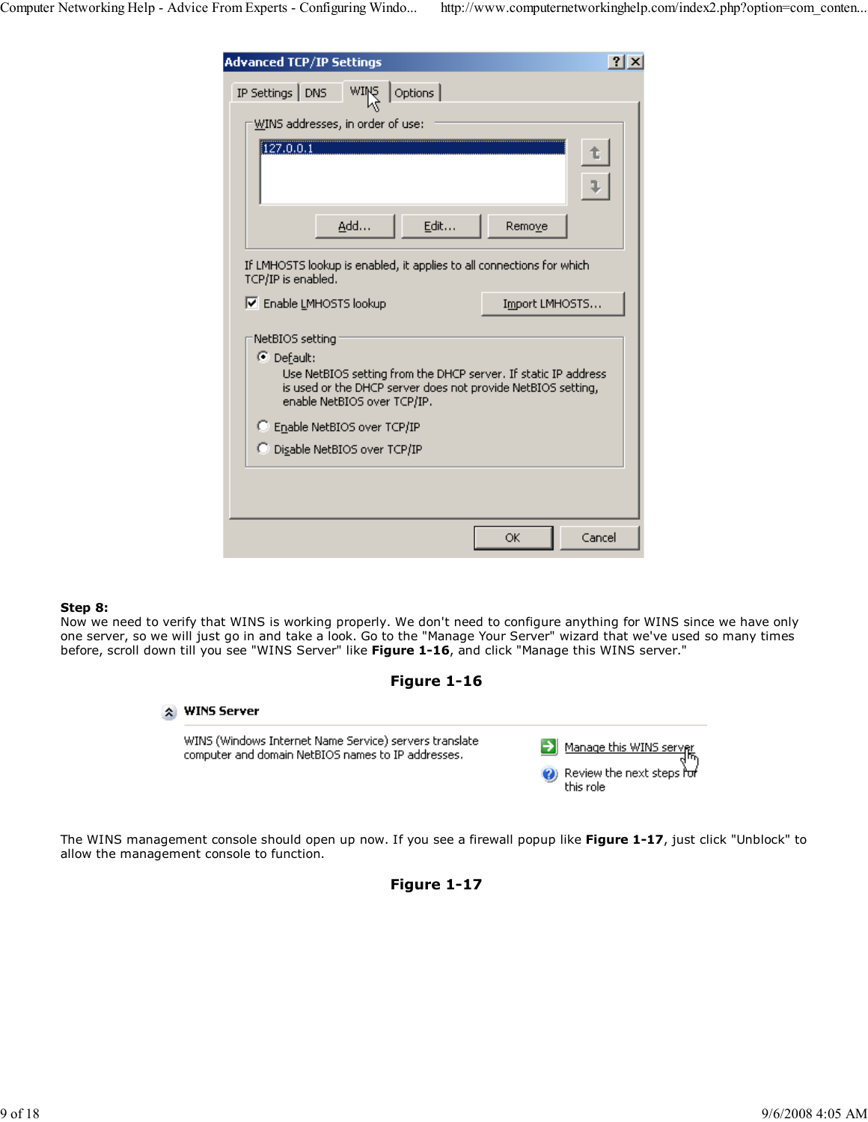| <b>Advanced TCP/IP Settings</b>                                                                                                                                                                |                |  |  |  |  |
|------------------------------------------------------------------------------------------------------------------------------------------------------------------------------------------------|----------------|--|--|--|--|
| WINS<br>IP Settings   DNS<br>Options                                                                                                                                                           |                |  |  |  |  |
| WINS addresses, in order of use:                                                                                                                                                               |                |  |  |  |  |
| [127.0.0.1]                                                                                                                                                                                    |                |  |  |  |  |
| Add<br>Edit                                                                                                                                                                                    | Remove         |  |  |  |  |
| If LMHOSTS lookup is enabled, it applies to all connections for which<br>TCP/IP is enabled.                                                                                                    |                |  |  |  |  |
| <b>▽</b> Enable LMHOSTS lookup                                                                                                                                                                 | Import LMHOSTS |  |  |  |  |
| NetBIOS setting<br>C Default:<br>Use NetBIOS setting from the DHCP server. If static IP address<br>is used or the DHCP server does not provide NetBIOS setting,<br>enable NetBIOS over TCP/IP. |                |  |  |  |  |
| C Enable NetBIOS over TCP/IP                                                                                                                                                                   |                |  |  |  |  |
| C Disable NetBIOS over TCP/IP                                                                                                                                                                  |                |  |  |  |  |
|                                                                                                                                                                                                |                |  |  |  |  |
|                                                                                                                                                                                                | Cancel<br>ОK   |  |  |  |  |

### Step 8:

Now we need to verify that WINS is working properly. We don't need to configure anything for WINS since we have only one server, so we will just go in and take a look. Go to the "Manage Your Server" wizard that we've used so many times before, scroll down till you see "WINS Server" like Figure 1-16, and click "Manage this WINS server."



# \* WINS Server

WINS (Windows Internet Name Service) servers translate computer and domain NetBIOS names to IP addresses.

| Manage this WINS server                |
|----------------------------------------|
| Review the next steps for<br>this role |

The WINS management console should open up now. If you see a firewall popup like Figure 1-17, just click "Unblock" to allow the management console to function.

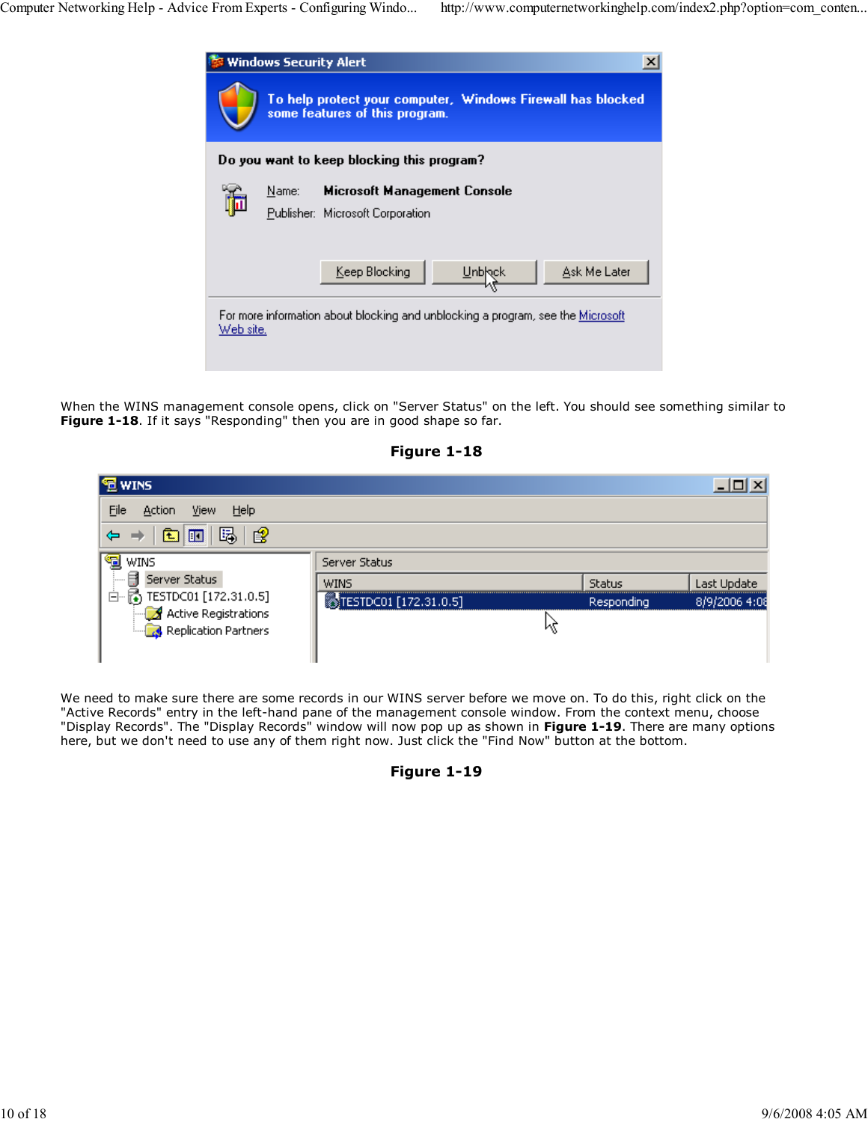

When the WINS management console opens, click on "Server Status" on the left. You should see something similar to Figure 1-18. If it says "Responding" then you are in good shape so far.

| <b>宣 WINS</b>                                |                       |               |               |
|----------------------------------------------|-----------------------|---------------|---------------|
| File<br>View<br>Help<br>Action               |                       |               |               |
| 窤<br>暍<br>盯<br>K.                            |                       |               |               |
| "国 wins                                      | Server Status         |               |               |
| Ħ<br>Server Status<br><b>:</b>               | <b>WINS</b>           | <b>Status</b> | Last Update   |
| 白 6 TESTDC01 [172.31.0.5]                    | TESTDC01 [172.31.0.5] | Responding    | 8/9/2006 4:08 |
| Active Registrations<br>Replication Partners |                       |               |               |
|                                              |                       |               |               |

Figure 1-18

We need to make sure there are some records in our WINS server before we move on. To do this, right click on the "Active Records" entry in the left-hand pane of the management console window. From the context menu, choose "Display Records". The "Display Records" window will now pop up as shown in Figure 1-19. There are many options here, but we don't need to use any of them right now. Just click the "Find Now" button at the bottom.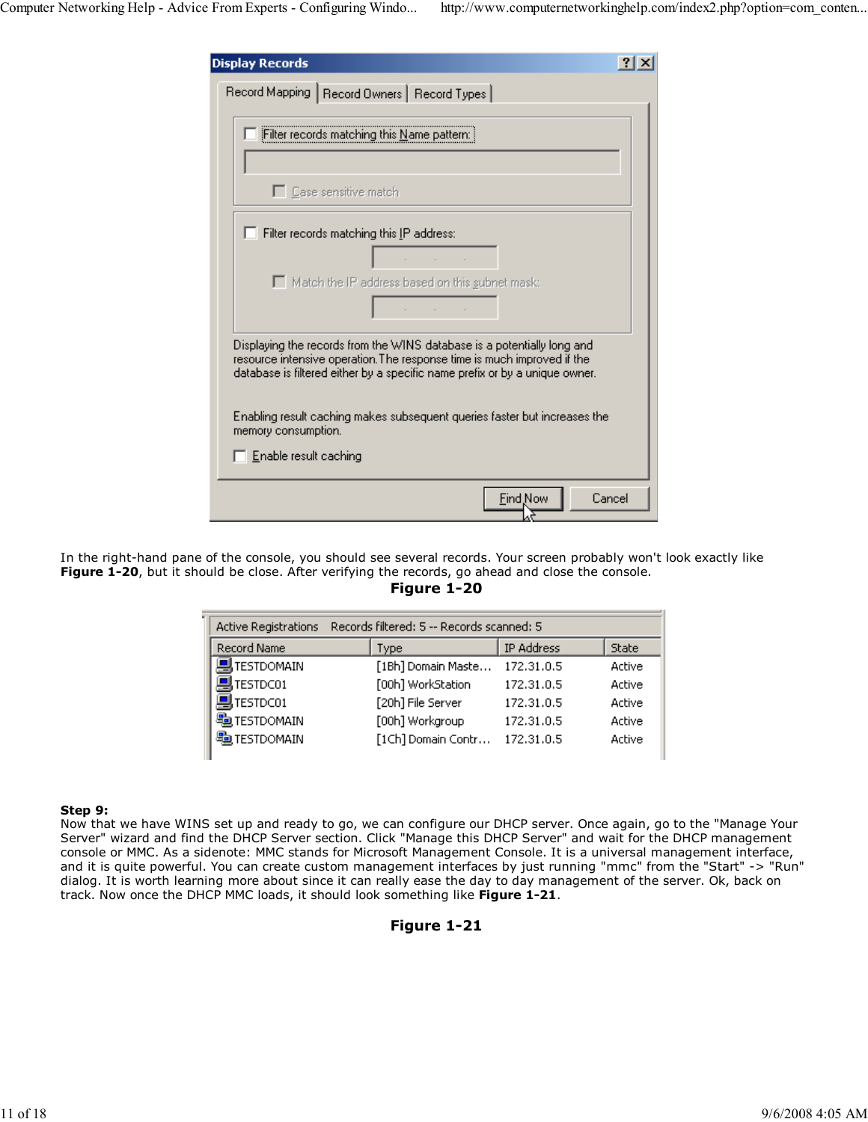| <b>Display Records</b>                                                                                                                                                                                                            |  |
|-----------------------------------------------------------------------------------------------------------------------------------------------------------------------------------------------------------------------------------|--|
| Record Mapping   Record Owners   Record Types                                                                                                                                                                                     |  |
| Filter records matching this Name pattern:                                                                                                                                                                                        |  |
| □ Case sensitive match                                                                                                                                                                                                            |  |
| $\Box$ Filter records matching this IP address:<br>contract and contract                                                                                                                                                          |  |
| Match the IP address based on this subnet mask:<br>contract and state                                                                                                                                                             |  |
| Displaying the records from the WINS database is a potentially long and<br>resource intensive operation. The response time is much improved if the<br>database is filtered either by a specific name prefix or by a unique owner. |  |
| Enabling result caching makes subsequent queries faster but increases the<br>memory consumption.                                                                                                                                  |  |
| $\Box$ Enable result caching                                                                                                                                                                                                      |  |
| <b>Find Now</b><br>Cancel                                                                                                                                                                                                         |  |

In the right-hand pane of the console, you should see several records. Your screen probably won't look exactly like Figure 1-20, but it should be close. After verifying the records, go ahead and close the console.

Figure 1-20

| Records filtered: 5 -- Records scanned: 5<br><b>Active Registrations</b> |                    |            |              |
|--------------------------------------------------------------------------|--------------------|------------|--------------|
| <b>Record Name</b>                                                       | Type               | IP Address | <b>State</b> |
| 乌TESTDOMAIN                                                              | [1Bh] Domain Maste | 172.31.0.5 | Active       |
| TESTDC01                                                                 | [00h] WorkStation  | 172.31.0.5 | Active       |
| 믴TESTDC01                                                                | [20h] File Server  | 172.31.0.5 | Active       |
| <b>SO TESTDOMAIN</b>                                                     | [00h] Workgroup    | 172.31.0.5 | Active       |
| <b>题TESTDOMAIN</b>                                                       | [1Ch] Domain Contr | 172.31.0.5 | Active       |
|                                                                          |                    |            |              |

#### Step 9:

Now that we have WINS set up and ready to go, we can configure our DHCP server. Once again, go to the "Manage Your Server" wizard and find the DHCP Server section. Click "Manage this DHCP Server" and wait for the DHCP management console or MMC. As a sidenote: MMC stands for Microsoft Management Console. It is a universal management interface, and it is quite powerful. You can create custom management interfaces by just running "mmc" from the "Start" -> "Run" dialog. It is worth learning more about since it can really ease the day to day management of the server. Ok, back on track. Now once the DHCP MMC loads, it should look something like Figure 1-21.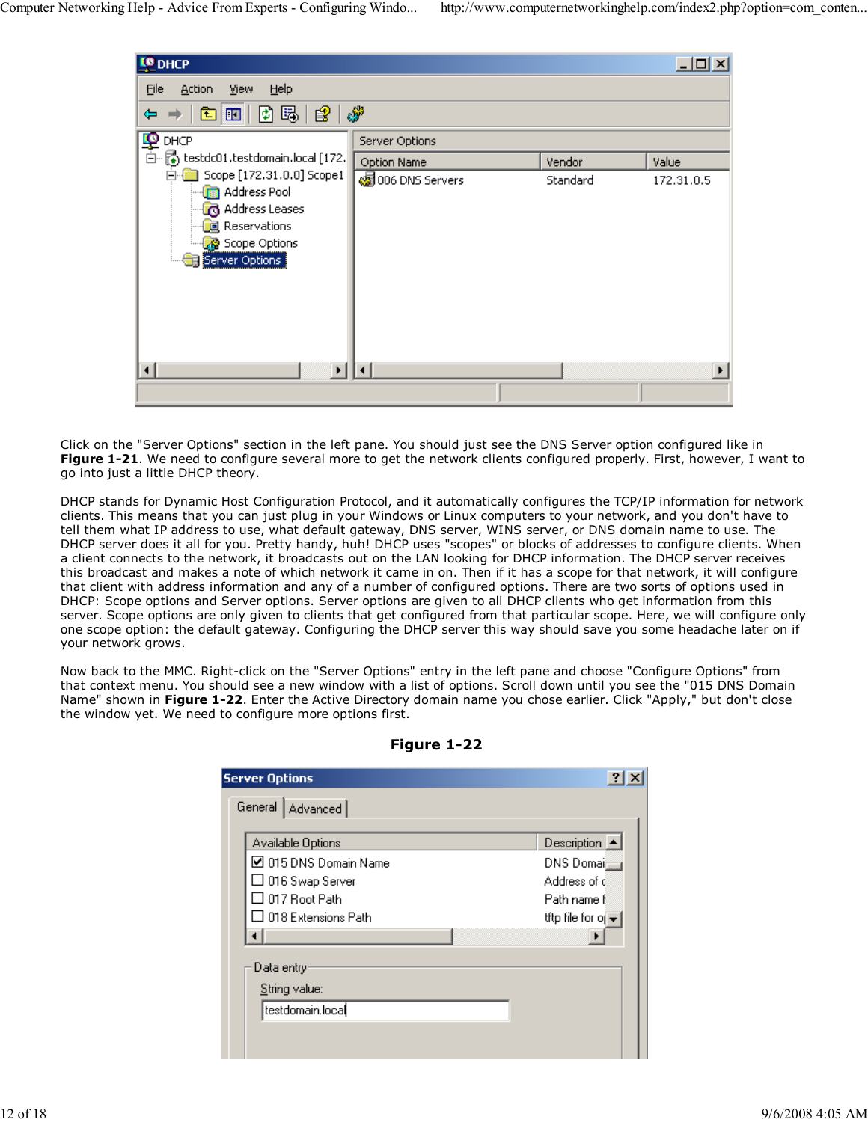| <b>LO</b> DHCP                                                |                        |          | 그미지        |
|---------------------------------------------------------------|------------------------|----------|------------|
| Eile<br>Help<br>Action<br>View                                |                        |          |            |
| [8] ந  <br>183<br>$\blacksquare$<br>田<br>⇔                    | తో                     |          |            |
| <b>PO</b> DHCP                                                | Server Options         |          |            |
| $\overline{\hat{\boxdot}}$ Extect 1. test domain. local [172. | Option Name            | Vendor   | Value      |
| Scope [172.31.0.0] Scope1<br>Ρ<br><b>R</b> Address Pool       | ssi 006 DNS Servers    | Standard | 172.31.0.5 |
| Address Leases                                                |                        |          |            |
| a Reservations                                                |                        |          |            |
| Scope Options                                                 |                        |          |            |
| Server Options                                                |                        |          |            |
|                                                               |                        |          |            |
|                                                               |                        |          |            |
|                                                               |                        |          |            |
|                                                               |                        |          |            |
| $\blacktriangleright$                                         | $\left  \cdot \right $ |          |            |
|                                                               |                        |          |            |

Click on the "Server Options" section in the left pane. You should just see the DNS Server option configured like in Figure 1-21. We need to configure several more to get the network clients configured properly. First, however, I want to go into just a little DHCP theory.

DHCP stands for Dynamic Host Configuration Protocol, and it automatically configures the TCP/IP information for network clients. This means that you can just plug in your Windows or Linux computers to your network, and you don't have to tell them what IP address to use, what default gateway, DNS server, WINS server, or DNS domain name to use. The DHCP server does it all for you. Pretty handy, huh! DHCP uses "scopes" or blocks of addresses to configure clients. When a client connects to the network, it broadcasts out on the LAN looking for DHCP information. The DHCP server receives this broadcast and makes a note of which network it came in on. Then if it has a scope for that network, it will configure that client with address information and any of a number of configured options. There are two sorts of options used in DHCP: Scope options and Server options. Server options are given to all DHCP clients who get information from this server. Scope options are only given to clients that get configured from that particular scope. Here, we will configure only one scope option: the default gateway. Configuring the DHCP server this way should save you some headache later on if your network grows.

Now back to the MMC. Right-click on the "Server Options" entry in the left pane and choose "Configure Options" from that context menu. You should see a new window with a list of options. Scroll down until you see the "015 DNS Domain Name" shown in Figure 1-22. Enter the Active Directory domain name you chose earlier. Click "Apply," but don't close the window yet. We need to configure more options first.

| <b>Server Options</b><br>General   Advanced |                                       |
|---------------------------------------------|---------------------------------------|
|                                             |                                       |
| Available Options                           | Description $\blacktriangle$          |
| ☑ 015 DNS Domain Name                       | DNS Domai                             |
| □ 016 Swap Server                           | Address of d                          |
| $\Box$ 017 Root Path                        | Path name fl                          |
| $\Box$ 018 Extensions Path                  | the file for $o$ $\blacktriangledown$ |
|                                             |                                       |
| Data entry:                                 |                                       |
| String value:                               |                                       |
| testdomain.loca <b>l</b>                    |                                       |
|                                             |                                       |

Figure 1-22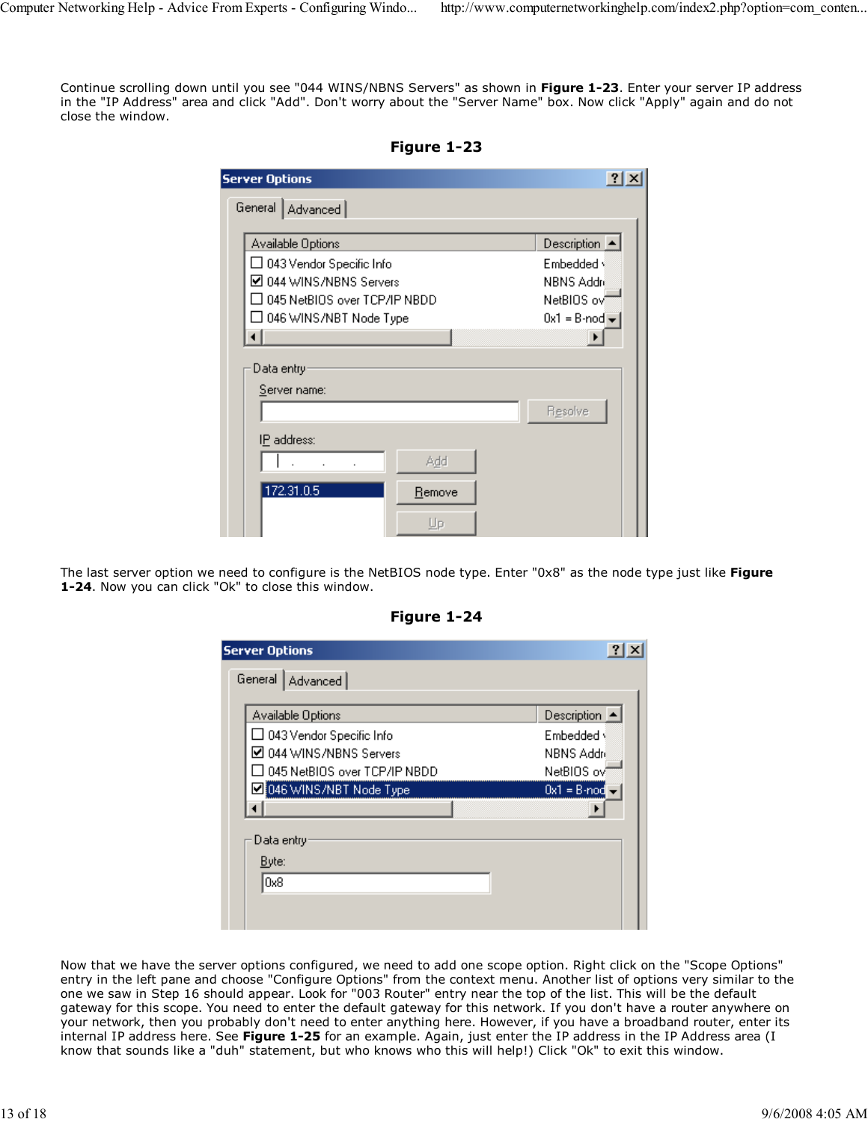Continue scrolling down until you see "044 WINS/NBNS Servers" as shown in Figure 1-23. Enter your server IP address in the "IP Address" area and click "Add". Don't worry about the "Server Name" box. Now click "Apply" again and do not close the window.

| <b>Server Options</b>                                                                                             | $ ?  \times$                                                            |
|-------------------------------------------------------------------------------------------------------------------|-------------------------------------------------------------------------|
| General   Advanced                                                                                                |                                                                         |
| Available Options<br>□ 043 Vendor Specific Info<br>☑ 044 WINS/NBNS Servers<br>$\Box$ 045 NetBIOS over TCP/IP NBDD | Description $\blacktriangle$<br>Embedded v<br>NBNS Addre<br>NetBIOS ovi |
| □ 046 WINS/NBT Node Type                                                                                          | $0x1 = B$ -nod $\blacktriangleright$                                    |
|                                                                                                                   |                                                                         |
| Data entry:                                                                                                       |                                                                         |
| Server name:                                                                                                      |                                                                         |
|                                                                                                                   | Resolve                                                                 |
| IP address:<br>Add                                                                                                |                                                                         |
| 172.31.0.5<br><b>Remove</b>                                                                                       |                                                                         |
| Uр                                                                                                                |                                                                         |

Figure 1-23

The last server option we need to configure is the NetBIOS node type. Enter "0x8" as the node type just like Figure 1-24. Now you can click "Ok" to close this window.

| <b>Server Options</b>                                      |                              |
|------------------------------------------------------------|------------------------------|
| General   Advanced                                         |                              |
| Available Options                                          | Description $\blacktriangle$ |
| $\Box$ 043 Vendor Specific Info<br>M 044 WINS/NBNS Servers | Embedded y<br>NBNS Addré     |
| □ 045 NetBIOS over TCP/IP NBDD                             | NetBIOS ovi                  |
| 046 WINS/NBT Node Type                                     | $0x1 = B$ -nod               |
| Data entry                                                 |                              |
| Byte:                                                      |                              |
| 0x8                                                        |                              |
|                                                            |                              |

Figure 1-24

Now that we have the server options configured, we need to add one scope option. Right click on the "Scope Options" entry in the left pane and choose "Configure Options" from the context menu. Another list of options very similar to the one we saw in Step 16 should appear. Look for "003 Router" entry near the top of the list. This will be the default gateway for this scope. You need to enter the default gateway for this network. If you don't have a router anywhere on your network, then you probably don't need to enter anything here. However, if you have a broadband router, enter its internal IP address here. See Figure 1-25 for an example. Again, just enter the IP address in the IP Address area (I know that sounds like a "duh" statement, but who knows who this will help!) Click "Ok" to exit this window.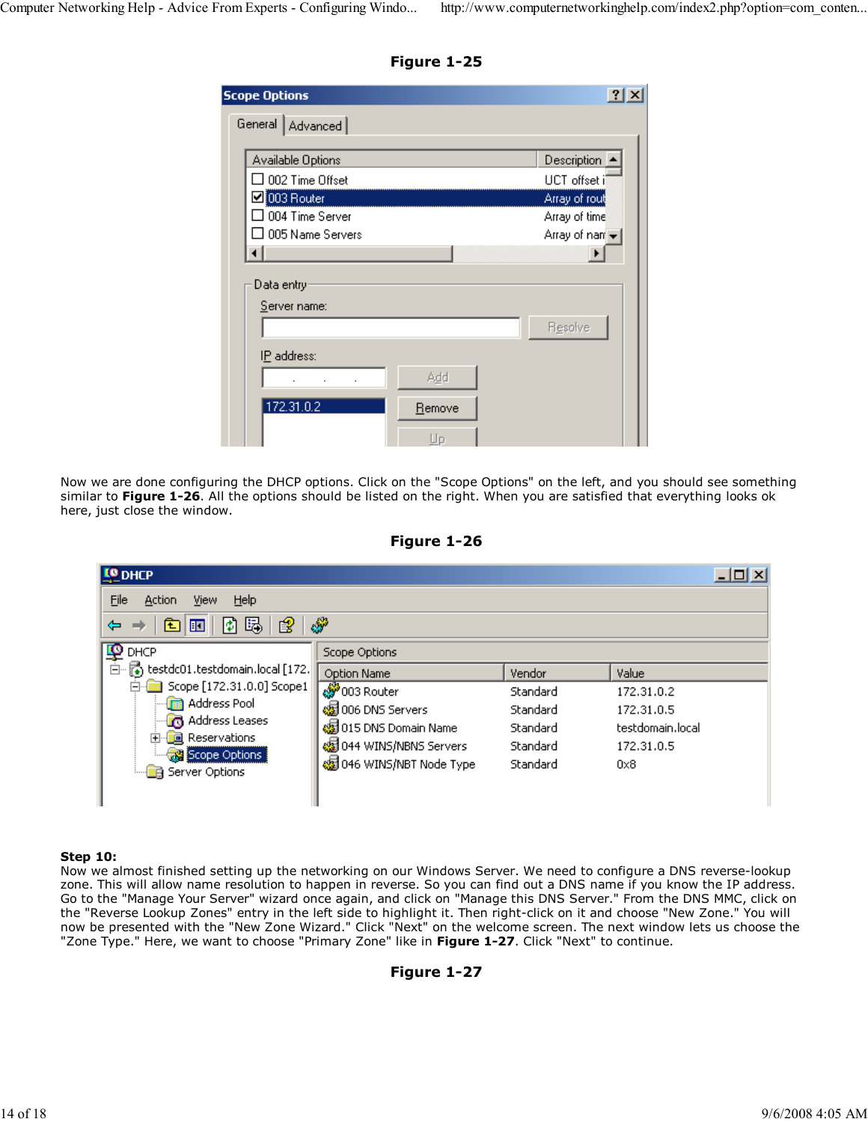Figure 1-25

| <b>Scope Options</b>    |        |                                   |
|-------------------------|--------|-----------------------------------|
| General   Advanced      |        |                                   |
| Available Options       |        | Description                       |
| $\Box$ 002 Time Offset  |        | UCT offset i                      |
| ■ 003 Router            |        | Array of rout                     |
| $\Box$ 004 Time Server  |        | Array of time                     |
| $\Box$ 005 Name Servers |        | Array of nan $\blacktriangledown$ |
|                         |        |                                   |
| Data entry:             |        |                                   |
| Server name:            |        |                                   |
|                         |        | Resolve                           |
| IP address:             |        |                                   |
|                         | Add    |                                   |
|                         |        |                                   |
| 172.31.0.2              | Remove |                                   |

Now we are done configuring the DHCP options. Click on the "Scope Options" on the left, and you should see something similar to Figure 1-26. All the options should be listed on the right. When you are satisfied that everything looks ok here, just close the window.



| <b>LO</b> DHCP                                          |                                |          |                  | $\Box$ ol $\times$ |
|---------------------------------------------------------|--------------------------------|----------|------------------|--------------------|
| Eile<br>Help<br>Action<br>View                          |                                |          |                  |                    |
| 喝<br>€<br>剛<br>圍<br>画<br>⇔                              | فتوليه                         |          |                  |                    |
| ₽<br>DHCP                                               | Scope Options                  |          |                  |                    |
| $\overline{\hat{\Box}}$ cestdc01.testdomain.local [172. | Option Name                    | Vendor   | Value            |                    |
| Scope [172.31.0.0] Scope1                               | s Router                       | Standard | 172.31.0.2       |                    |
| <b>R</b> Address Pool                                   | ssi 006 DNS Servers            | Standard | 172.31.0.5       |                    |
| Address Leases<br><b>国</b> Reservations                 | <b>图</b> 015 DNS Domain Name   | Standard | testdomain.local |                    |
| Scope Options                                           | <b>编</b> 044 WINS/NBNS Servers | Standard | 172.31.0.5       |                    |
| Server Options                                          | © 046 WINS/NBT Node Type       | Standard | $0\times8$       |                    |
|                                                         |                                |          |                  |                    |

### Step 10:

Now we almost finished setting up the networking on our Windows Server. We need to configure a DNS reverse-lookup zone. This will allow name resolution to happen in reverse. So you can find out a DNS name if you know the IP address. Go to the "Manage Your Server" wizard once again, and click on "Manage this DNS Server." From the DNS MMC, click on the "Reverse Lookup Zones" entry in the left side to highlight it. Then right-click on it and choose "New Zone." You will now be presented with the "New Zone Wizard." Click "Next" on the welcome screen. The next window lets us choose the "Zone Type." Here, we want to choose "Primary Zone" like in Figure 1-27. Click "Next" to continue.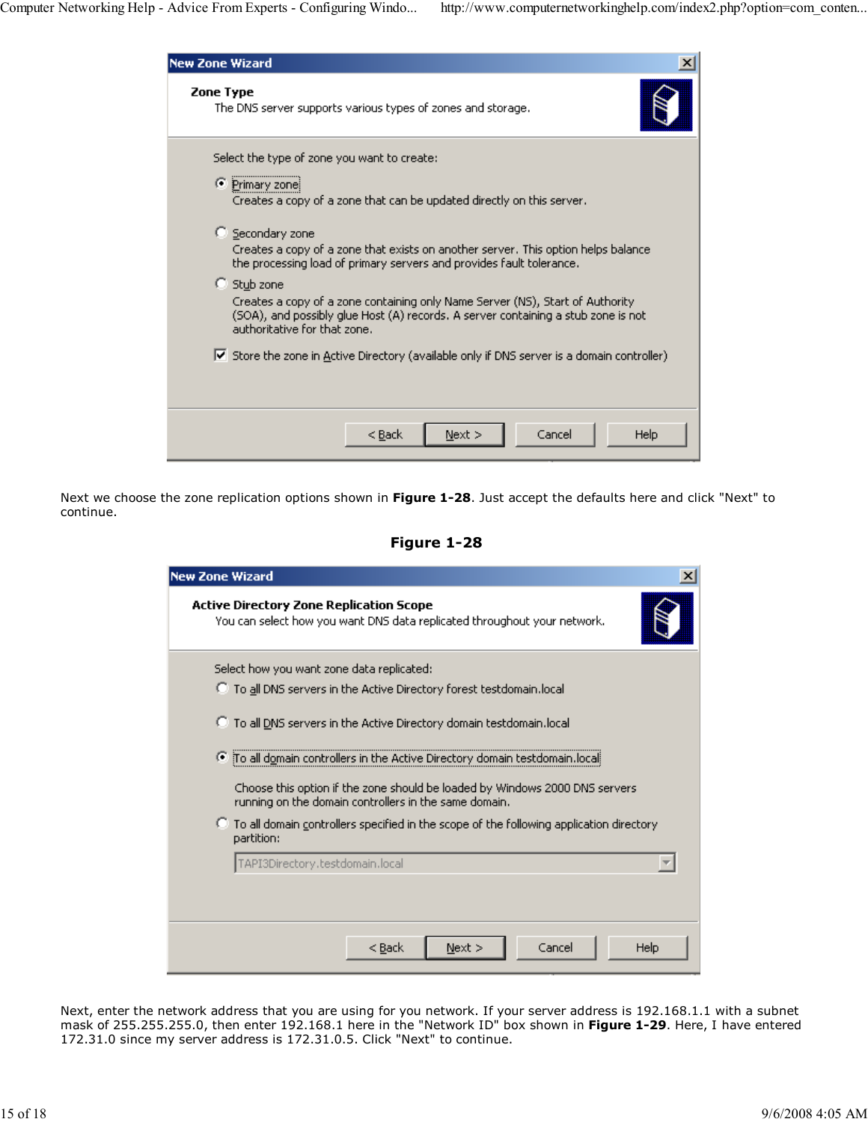| <b>New Zone Wizard</b>                                                                                                                                                                                             |  |
|--------------------------------------------------------------------------------------------------------------------------------------------------------------------------------------------------------------------|--|
| <b>Zone Type</b><br>The DNS server supports various types of zones and storage.                                                                                                                                    |  |
| Select the type of zone you want to create:<br>⊙ Primary zone<br>Creates a copy of a zone that can be updated directly on this server.                                                                             |  |
| ○ Secondary zone<br>Creates a copy of a zone that exists on another server. This option helps balance<br>the processing load of primary servers and provides fault tolerance.                                      |  |
| C Stub zone<br>Creates a copy of a zone containing only Name Server (NS), Start of Authority.<br>(SOA), and possibly glue Host (A) records. A server containing a stub zone is not<br>authoritative for that zone. |  |
| $\blacktriangleright$ Store the zone in Active Directory (available only if DNS server is a domain controller)                                                                                                     |  |
| Cancel<br>Help<br>< Back<br>Next                                                                                                                                                                                   |  |

Next we choose the zone replication options shown in Figure 1-28. Just accept the defaults here and click "Next" to continue.

Figure 1-28

| <b>New Zone Wizard</b>                                                                                                                                    |
|-----------------------------------------------------------------------------------------------------------------------------------------------------------|
| Active Directory Zone Replication Scope<br>You can select how you want DNS data replicated throughout your network.                                       |
| Select how you want zone data replicated:                                                                                                                 |
| To all DNS servers in the Active Directory forest testdomain.local                                                                                        |
| <sup>1</sup> To all DNS servers in the Active Directory domain testdomain.local                                                                           |
| To all domain controllers in the Active Directory domain testdomain.local<br>Choose this option if the zone should be loaded by Windows 2000 DNS servers. |
| running on the domain controllers in the same domain.                                                                                                     |
| To all domain controllers specified in the scope of the following application directory<br>O.<br>partition:                                               |
| TAPI3Directory.testdomain.local                                                                                                                           |
|                                                                                                                                                           |
|                                                                                                                                                           |
| Cancel<br>$<$ Back<br>$Next$ $>$<br>Help                                                                                                                  |

Next, enter the network address that you are using for you network. If your server address is 192.168.1.1 with a subnet mask of 255.255.255.0, then enter 192.168.1 here in the "Network ID" box shown in **Figure 1-29**. Here, I have entered 172.31.0 since my server address is 172.31.0.5. Click "Next" to continue.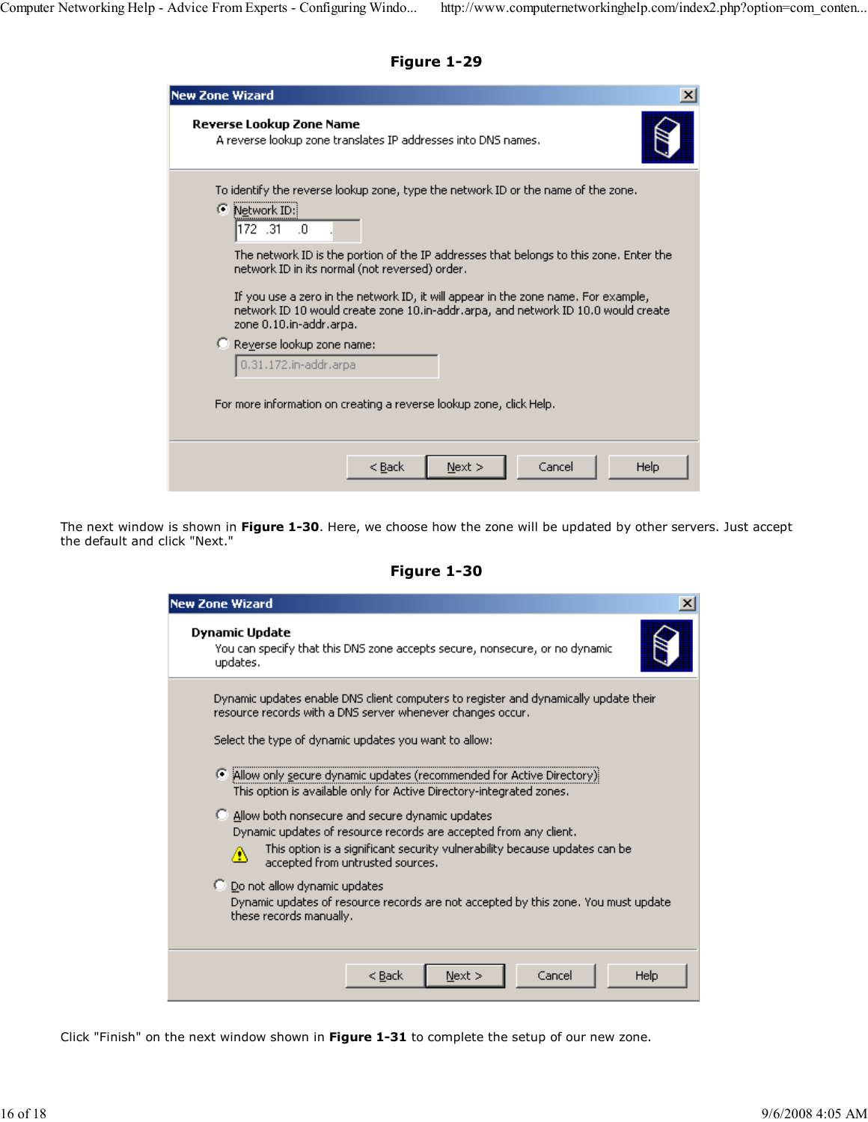Figure 1-29

| New Zone Wizard                                                                                                                                                                                                                                                                                                                                                                                                                                                                                                                                                                                      | ×    |
|------------------------------------------------------------------------------------------------------------------------------------------------------------------------------------------------------------------------------------------------------------------------------------------------------------------------------------------------------------------------------------------------------------------------------------------------------------------------------------------------------------------------------------------------------------------------------------------------------|------|
| Reverse Lookup Zone Name<br>A reverse lookup zone translates IP addresses into DNS names.                                                                                                                                                                                                                                                                                                                                                                                                                                                                                                            |      |
| To identify the reverse lookup zone, type the network ID or the name of the zone.<br>● Network ID:<br>172.31<br>-.0<br>The network ID is the portion of the IP addresses that belongs to this zone. Enter the<br>network ID in its normal (not reversed) order.<br>If you use a zero in the network ID, it will appear in the zone name. For example,<br>network ID 10 would create zone 10.in-addr.arpa, and network ID 10.0 would create<br>zone 0.10.in-addr.arpa.<br>C Reverse lookup zone name:<br>0.31.172.in-addr.arpa<br>For more information on creating a reverse lookup zone, click Help. |      |
|                                                                                                                                                                                                                                                                                                                                                                                                                                                                                                                                                                                                      |      |
| Cancel<br>< Back<br>Next >                                                                                                                                                                                                                                                                                                                                                                                                                                                                                                                                                                           | Help |

The next window is shown in **Figure 1-30**. Here, we choose how the zone will be updated by other servers. Just accept the default and click "Next."

Figure 1-30

| <b>New Zone Wizard</b>                                                                                                                                                                                                                        |  |  |  |  |
|-----------------------------------------------------------------------------------------------------------------------------------------------------------------------------------------------------------------------------------------------|--|--|--|--|
| Dynamic Update<br>You can specify that this DNS zone accepts secure, nonsecure, or no dynamic<br>updates.                                                                                                                                     |  |  |  |  |
| Dynamic updates enable DNS client computers to register and dynamically update their<br>resource records with a DNS server whenever changes occur.<br>Select the type of dynamic updates you want to allow:                                   |  |  |  |  |
| (6) Allow only secure dynamic updates (recommended for Active Directory)<br>This option is available only for Active Directory-integrated zones.                                                                                              |  |  |  |  |
| C Allow both nonsecure and secure dynamic updates<br>Dynamic updates of resource records are accepted from any client.<br>This option is a significant security vulnerability because updates can be<br>Δ<br>accepted from untrusted sources. |  |  |  |  |
| C Do not allow dynamic updates<br>Dynamic updates of resource records are not accepted by this zone. You must update<br>these records manually.                                                                                               |  |  |  |  |
| Next<br>Cancel<br>$<$ Back<br>Help                                                                                                                                                                                                            |  |  |  |  |

Click "Finish" on the next window shown in Figure 1-31 to complete the setup of our new zone.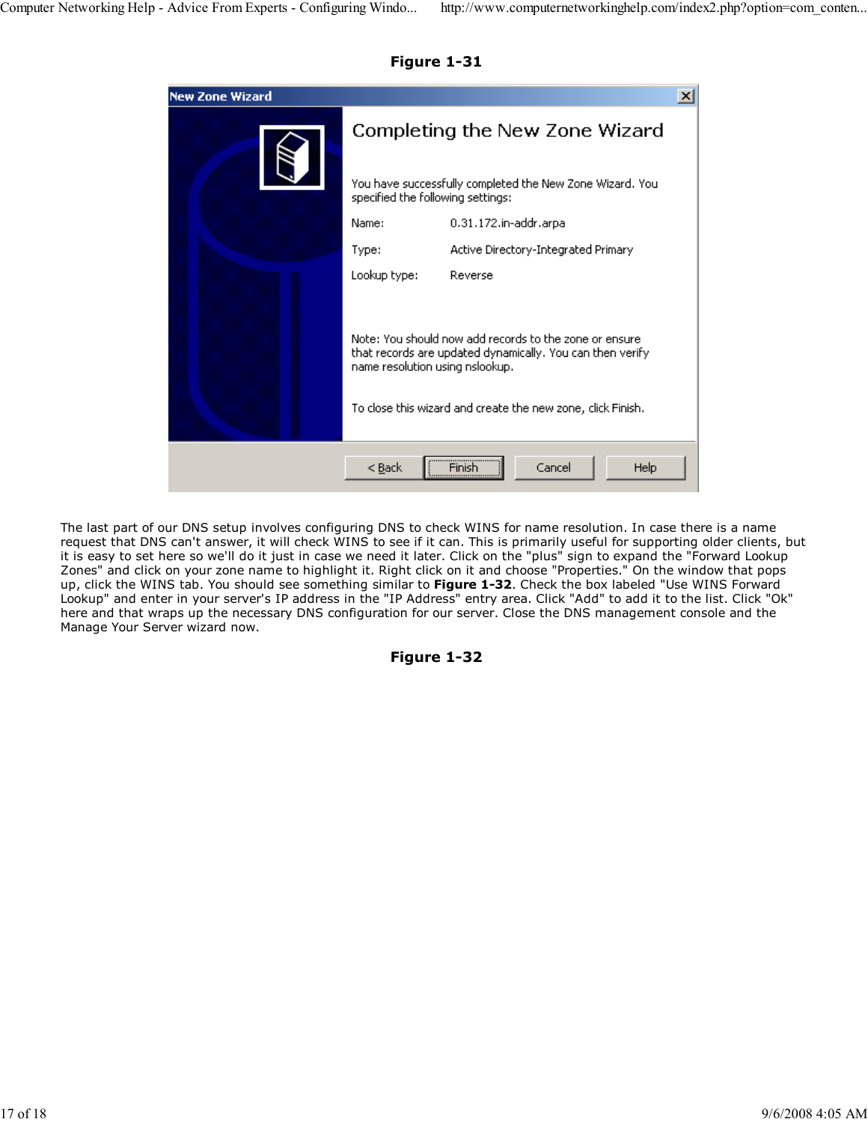| <b>New Zone Wizard</b> |                                                                                                                                                        |                                     |  |
|------------------------|--------------------------------------------------------------------------------------------------------------------------------------------------------|-------------------------------------|--|
|                        | Completing the New Zone Wizard                                                                                                                         |                                     |  |
|                        | You have successfully completed the New Zone Wizard, You<br>specified the following settings:                                                          |                                     |  |
|                        | Name:                                                                                                                                                  | 0.31.172.in-addr.arpa               |  |
|                        | Type:                                                                                                                                                  | Active Directory-Integrated Primary |  |
|                        | Lookup type:                                                                                                                                           | Reverse                             |  |
|                        | Note: You should now add records to the zone or ensure<br>that records are updated dynamically. You can then verify<br>name resolution using nslookup. |                                     |  |
|                        | To close this wizard and create the new zone, click Finish.                                                                                            |                                     |  |
|                        | < <u>B</u> ack                                                                                                                                         | <br>Cancel<br>Help<br>Finish        |  |

Figure 1-31

The last part of our DNS setup involves configuring DNS to check WINS for name resolution. In case there is a name request that DNS can't answer, it will check WINS to see if it can. This is primarily useful for supporting older clients, but it is easy to set here so we'll do it just in case we need it later. Click on the "plus" sign to expand the "Forward Lookup Zones" and click on your zone name to highlight it. Right click on it and choose "Properties." On the window that pops up, click the WINS tab. You should see something similar to Figure 1-32. Check the box labeled "Use WINS Forward Lookup" and enter in your server's IP address in the "IP Address" entry area. Click "Add" to add it to the list. Click "Ok" here and that wraps up the necessary DNS configuration for our server. Close the DNS management console and the Manage Your Server wizard now.